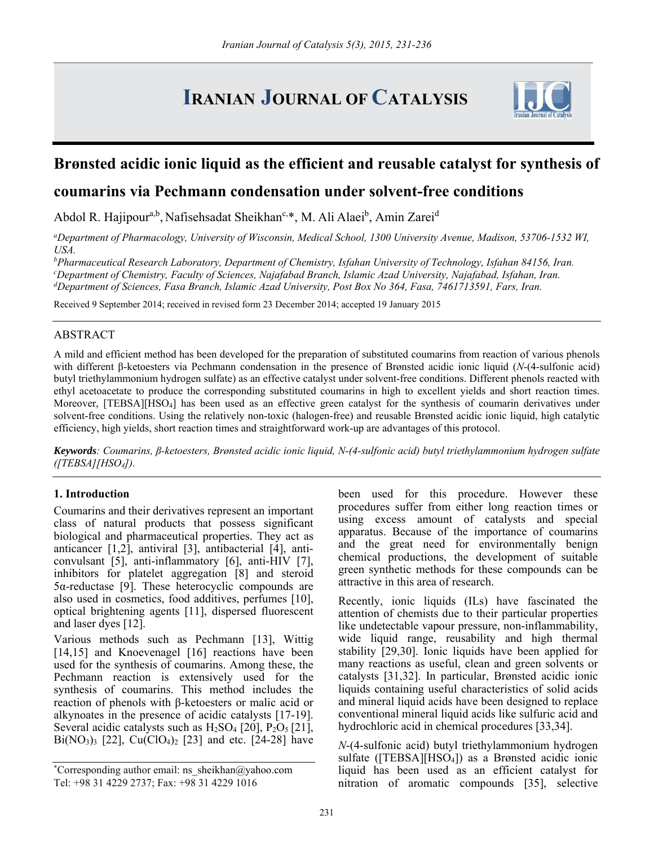# **IRANIAN JOURNAL OF CATALYSIS**



# **Brønsted acidic ionic liquid as the efficient and reusable catalyst for synthesis of**

## **coumarins via Pechmann condensation under solvent-free conditions**

Abdol R. Hajipour<sup>a,b</sup>, Nafisehsadat Sheikhan<sup>c,\*</sup>, M. Ali Alaei<sup>b</sup>, Amin Zarei<sup>d</sup>

*a Department of Pharmacology, University of Wisconsin, Medical School, 1300 University Avenue, Madison, 53706-1532 WI, USA.* 

*b Pharmaceutical Research Laboratory, Department of Chemistry, Isfahan University of Technology, Isfahan 84156, Iran. c Department of Chemistry, Faculty of Sciences, Najafabad Branch, Islamic Azad University, Najafabad, Isfahan, Iran. d Department of Sciences, Fasa Branch, Islamic Azad University, Post Box No 364, Fasa, 7461713591, Fars, Iran.* 

Received 9 September 2014; received in revised form 23 December 2014; accepted 19 January 2015

## ABSTRACT

A mild and efficient method has been developed for the preparation of substituted coumarins from reaction of various phenols with different β-ketoesters via Pechmann condensation in the presence of Brønsted acidic ionic liquid (*N*-(4-sulfonic acid) butyl triethylammonium hydrogen sulfate) as an effective catalyst under solvent-free conditions. Different phenols reacted with ethyl acetoacetate to produce the corresponding substituted coumarins in high to excellent yields and short reaction times. Moreover, [TEBSA][HSO4] has been used as an effective green catalyst for the synthesis of coumarin derivatives under solvent-free conditions. Using the relatively non-toxic (halogen-free) and reusable Brønsted acidic ionic liquid, high catalytic efficiency, high yields, short reaction times and straightforward work-up are advantages of this protocol.

*Keywords: Coumarins, β-ketoesters, Brønsted acidic ionic liquid, N-(4-sulfonic acid) butyl triethylammonium hydrogen sulfate ([TEBSA][HSO4]).* 

### **1. Introduction**

Coumarins and their derivatives represent an important class of natural products that possess significant biological and pharmaceutical properties. They act as anticancer [1,2], antiviral [3], antibacterial [4], anticonvulsant [5], anti-inflammatory [6], anti-HIV [7], inhibitors for platelet aggregation [8] and steroid 5α-reductase [9]. These heterocyclic compounds are also used in cosmetics, food additives, perfumes [10], optical brightening agents [11], dispersed fluorescent and laser dyes [12].

Various methods such as Pechmann [13], Wittig [14,15] and Knoevenagel [16] reactions have been used for the synthesis of coumarins. Among these, the Pechmann reaction is extensively used for the synthesis of coumarins. This method includes the reaction of phenols with β-ketoesters or malic acid or alkynoates in the presence of acidic catalysts [17-19]. Several acidic catalysts such as  $H_2SO_4$  [20],  $P_2O_5$  [21], Bi(NO<sub>3</sub>)<sub>3</sub> [22], Cu(ClO<sub>4</sub>)<sub>2</sub> [23] and etc. [24-28] have

been used for this procedure. However these procedures suffer from either long reaction times or using excess amount of catalysts and special apparatus. Because of the importance of coumarins and the great need for environmentally benign chemical productions, the development of suitable green synthetic methods for these compounds can be attractive in this area of research.

Recently, ionic liquids (ILs) have fascinated the attention of chemists due to their particular properties like undetectable vapour pressure, non-inflammability, wide liquid range, reusability and high thermal stability [29,30]. Ionic liquids have been applied for many reactions as useful, clean and green solvents or catalysts [31,32]. In particular, Brønsted acidic ionic liquids containing useful characteristics of solid acids and mineral liquid acids have been designed to replace conventional mineral liquid acids like sulfuric acid and hydrochloric acid in chemical procedures [33,34].

*N*-(4-sulfonic acid) butyl triethylammonium hydrogen sulfate ([TEBSA][HSO4]) as a Brønsted acidic ionic liquid has been used as an efficient catalyst for nitration of aromatic compounds [35], selective

<sup>\*</sup> Corresponding author email: ns\_sheikhan@yahoo.com Tel: +98 31 4229 2737; Fax: +98 31 4229 1016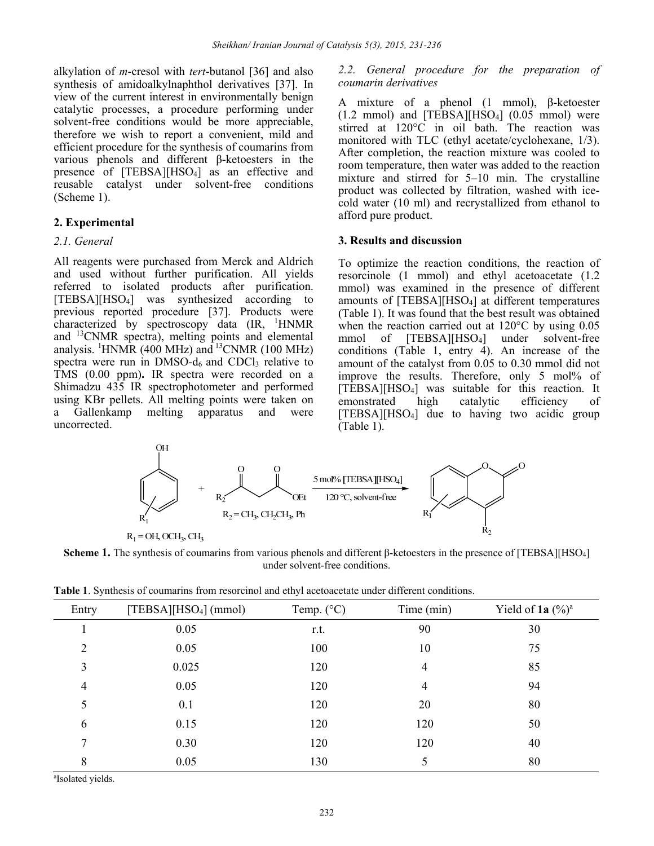alkylation of *m*-cresol with *tert*-butanol [36] and also synthesis of amidoalkylnaphthol derivatives [37]. In view of the current interest in environmentally benign catalytic processes, a procedure performing under solvent-free conditions would be more appreciable, therefore we wish to report a convenient, mild and efficient procedure for the synthesis of coumarins from various phenols and different β-ketoesters in the presence of [TEBSA][HSO4] as an effective and reusable catalyst under solvent-free conditions (Scheme 1).

#### **2. Experimental**

#### *2.1. General*

All reagents were purchased from Merck and Aldrich and used without further purification. All yields referred to isolated products after purification. [TEBSA][HSO4] was synthesized according to previous reported procedure [37]. Products were characterized by spectroscopy data (IR, <sup>1</sup>HNMR and 13CNMR spectra), melting points and elemental analysis. <sup>1</sup>HNMR (400 MHz) and <sup>13</sup>CNMR (100 MHz) spectra were run in  $DMSO-d_6$  and  $CDCl_3$  relative to TMS (0.00 ppm)**.** IR spectra were recorded on a Shimadzu 435 IR spectrophotometer and performed using KBr pellets. All melting points were taken on a Gallenkamp melting apparatus and were uncorrected.

*2.2. General procedure for the preparation of coumarin derivatives* 

A mixture of a phenol (1 mmol), β-ketoester  $(1.2 \text{ mmol})$  and [TEBSA][HSO<sub>4</sub>]  $(0.05 \text{ mmol})$  were stirred at 120°C in oil bath. The reaction was monitored with TLC (ethyl acetate/cyclohexane, 1/3). After completion, the reaction mixture was cooled to room temperature, then water was added to the reaction mixture and stirred for 5–10 min. The crystalline product was collected by filtration, washed with icecold water (10 ml) and recrystallized from ethanol to afford pure product.

#### **3. Results and discussion**

To optimize the reaction conditions, the reaction of resorcinole (1 mmol) and ethyl acetoacetate (1.2 mmol) was examined in the presence of different amounts of [TEBSA][HSO4] at different temperatures (Table 1). It was found that the best result was obtained when the reaction carried out at 120°C by using 0.05 mmol of [TEBSA][HSO<sub>4</sub>] under solvent-free conditions (Table 1, entry 4). An increase of the amount of the catalyst from 0.05 to 0.30 mmol did not improve the results. Therefore, only 5 mol% of [TEBSA][HSO4] was suitable for this reaction. It emonstrated high catalytic efficiency of [TEBSA][HSO4] due to having two acidic group (Table 1).



**Scheme 1.** The synthesis of coumarins from various phenols and different β-ketoesters in the presence of [TEBSA][HSO4] under solvent-free conditions.

| Table 1. Synthesis of coumarins from resorcinol and ethyl acetoacetate under different conditions. |  |
|----------------------------------------------------------------------------------------------------|--|
|----------------------------------------------------------------------------------------------------|--|

| Entry | [TEBSA][HSO <sub>4</sub> ] (mmol) | Temp. $(^{\circ}C)$ | Time (min)     | Yield of 1a $(\%)^a$ |
|-------|-----------------------------------|---------------------|----------------|----------------------|
|       | 0.05                              | r.t.                | 90             | 30                   |
| 2     | 0.05                              | 100                 | 10             | 75                   |
| 3     | 0.025                             | 120                 | $\overline{4}$ | 85                   |
| 4     | 0.05                              | 120                 | $\overline{4}$ | 94                   |
| 5     | 0.1                               | 120                 | 20             | 80                   |
| 6     | 0.15                              | 120                 | 120            | 50                   |
| 7     | 0.30                              | 120                 | 120            | 40                   |
| 8     | 0.05                              | 130                 | 5              | 80                   |

a Isolated yields.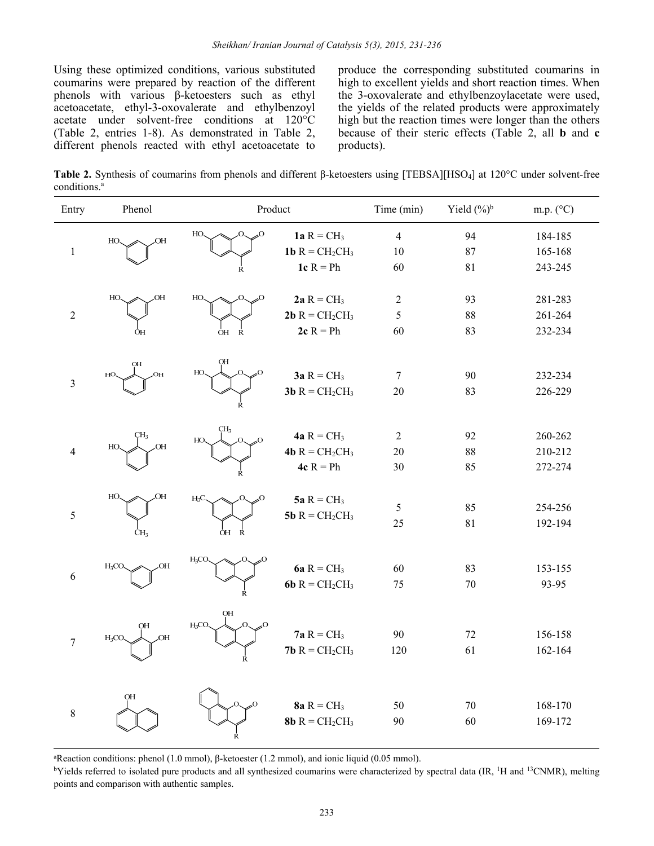Using these optimized conditions, various substituted coumarins were prepared by reaction of the different phenols with various β-ketoesters such as ethyl acetoacetate, ethyl-3-oxovalerate and ethylbenzoyl acetate under solvent-free conditions at 120°C (Table 2, entries 1-8). As demonstrated in Table 2, different phenols reacted with ethyl acetoacetate to produce the corresponding substituted coumarins in high to excellent yields and short reaction times. When the 3-oxovalerate and ethylbenzoylacetate were used, the yields of the related products were approximately high but the reaction times were longer than the others because of their steric effects (Table 2, all **b** and **c** products).

**Table 2.** Synthesis of coumarins from phenols and different β-ketoesters using [TEBSA][HSO4] at 120°C under solvent-free conditions.<sup>a</sup>

| Entry            | Phenol                     | Product                |                   | Time (min)           | Yield $(\%)^b$ | m.p. $(^{\circ}C)$ |  |
|------------------|----------------------------|------------------------|-------------------|----------------------|----------------|--------------------|--|
|                  | OН<br>HO                   | 50<br>HO               | 1a R = $CH3$      | $\overline{4}$       | 94             | 184-185            |  |
| $\mathbf 1$      |                            |                        | 1b $R = CH_2CH_3$ | 10                   | 87             | 165-168            |  |
|                  |                            | Ŕ                      | $1c R = Ph$       | 60                   | 81             | 243-245            |  |
|                  | HO<br>.OH                  | HO.                    | $2a R = CH3$      | $\sqrt{2}$           | 93             | 281-283            |  |
| $\sqrt{2}$       |                            |                        | $2b R = CH2CH3$   | $\sqrt{5}$           | 88             | 261-264            |  |
|                  | ÒН                         | ÒН<br>Ŕ                | $2c R = Ph$       | 60                   | 83             | 232-234            |  |
|                  | OH                         | OН                     |                   |                      |                |                    |  |
| $\mathfrak{Z}$   | .OH<br>HO                  | HO.                    | $3a R = CH3$      | $\tau$               | 90             | 232-234            |  |
|                  |                            | Ŕ                      | $3b R = CH2CH3$   | 20                   | 83             | 226-229            |  |
|                  | CH <sub>3</sub>            | CH <sub>3</sub><br>HO. | $4a R = CH3$      | $\overline{2}$       | 92             | 260-262            |  |
| $\overline{4}$   | HO.<br>HO                  |                        | 4b $R = CH_2CH_3$ | 20                   | 88             | 210-212            |  |
|                  |                            | Ŕ                      | $4c R = Ph$       | 30                   | 85             | 272-274            |  |
|                  | HO.<br>ЮA                  | $H_3C$                 | $5a R = CH3$      |                      | 85             | 254-256            |  |
| $\sqrt{5}$       |                            |                        | 5b $R = CH_2CH_3$ | $\mathfrak{S}$<br>25 | 81             |                    |  |
|                  | ĊН <sub>3</sub>            | ÒH Ř                   |                   |                      |                | 192-194            |  |
|                  | OН<br>$H_3CO$              | $H_3CO$                | 6a R = $CH3$      | 60                   | 83             | 153-155            |  |
| 6                |                            |                        | 6b $R = CH_2CH_3$ | 75                   | 70             | 93-95              |  |
|                  |                            | Ŕ<br>OН                |                   |                      |                |                    |  |
|                  | OH<br><b>OH</b><br>$H_3CO$ | $H_3CO$<br>O.<br>0؞    | $7a R = CH3$      | 90                   | 72             | 156-158            |  |
| $\boldsymbol{7}$ |                            |                        | $7b R = CH2CH3$   | 120                  | 61             | 162-164            |  |
|                  |                            | Ŕ                      |                   |                      |                |                    |  |
|                  | OH                         |                        | $8a R = CH3$      | 50                   | 70             | 168-170            |  |
| $\,8\,$          |                            |                        | $8b R = CH2CH3$   | 90                   | 60             | 169-172            |  |
|                  |                            | Ŕ                      |                   |                      |                |                    |  |

<sup>a</sup>Reaction conditions: phenol (1.0 mmol), β-ketoester (1.2 mmol), and ionic liquid (0.05 mmol).

<sup>a</sup>Reaction conditions: phenol (1.0 mmol), β-ketoester (1.2 mmol), and ionic liquid (0.05 mmol).<br><sup>b</sup>Yields referred to isolated pure products and all synthesized coumarins were characterized by spectral data (IR, <sup>1</sup>H and points and comparison with authentic samples.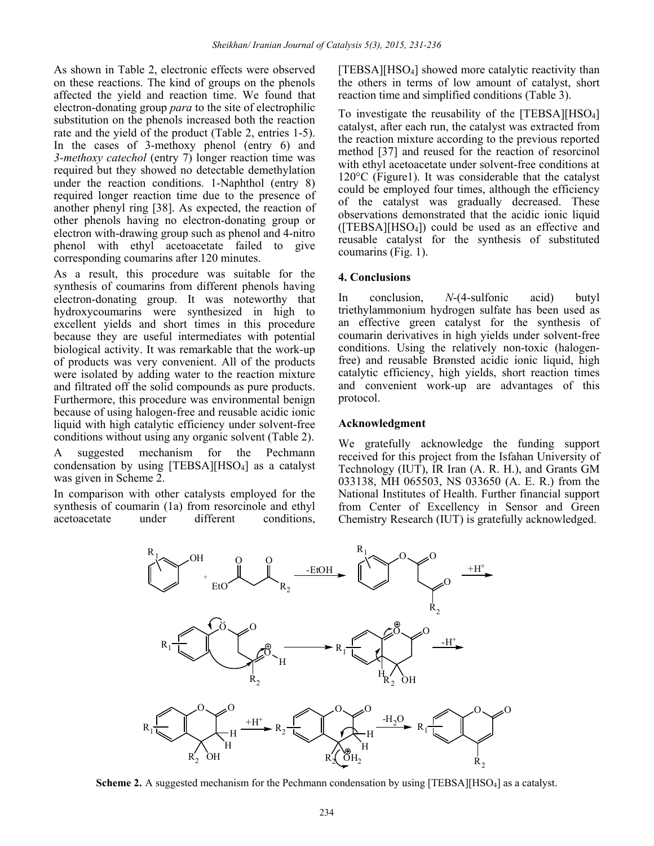As shown in Table 2, electronic effects were observed on these reactions. The kind of groups on the phenols affected the yield and reaction time. We found that electron-donating group *para* to the site of electrophilic substitution on the phenols increased both the reaction rate and the yield of the product (Table 2, entries 1-5). In the cases of 3-methoxy phenol (entry 6) and *3-methoxy catechol* (entry 7) longer reaction time was required but they showed no detectable demethylation under the reaction conditions. 1-Naphthol (entry 8) required longer reaction time due to the presence of another phenyl ring [38]. As expected, the reaction of other phenols having no electron-donating group or electron with-drawing group such as phenol and 4-nitro phenol with ethyl acetoacetate failed to give corresponding coumarins after 120 minutes.

As a result, this procedure was suitable for the synthesis of coumarins from different phenols having electron-donating group. It was noteworthy that hydroxycoumarins were synthesized in high to excellent yields and short times in this procedure because they are useful intermediates with potential biological activity. It was remarkable that the work-up of products was very convenient. All of the products were isolated by adding water to the reaction mixture and filtrated off the solid compounds as pure products. Furthermore, this procedure was environmental benign because of using halogen-free and reusable acidic ionic liquid with high catalytic efficiency under solvent-free conditions without using any organic solvent (Table 2).

A suggested mechanism for the Pechmann condensation by using [TEBSA][HSO4] as a catalyst was given in Scheme 2.

In comparison with other catalysts employed for the synthesis of coumarin (1a) from resorcinole and ethyl acetoacetate under different conditions, [TEBSA][HSO<sub>4</sub>] showed more catalytic reactivity than the others in terms of low amount of catalyst, short reaction time and simplified conditions (Table 3).

To investigate the reusability of the  $[TEBSA][HSO<sub>4</sub>]$ catalyst, after each run, the catalyst was extracted from the reaction mixture according to the previous reported method [37] and reused for the reaction of resorcinol with ethyl acetoacetate under solvent-free conditions at 120°C (Figure1). It was considerable that the catalyst could be employed four times, although the efficiency of the catalyst was gradually decreased. These observations demonstrated that the acidic ionic liquid ([TEBSA][HSO4]) could be used as an effective and reusable catalyst for the synthesis of substituted coumarins (Fig. 1).

#### **4. Conclusions**

In conclusion, *N*-(4-sulfonic acid) butyl triethylammonium hydrogen sulfate has been used as an effective green catalyst for the synthesis of coumarin derivatives in high yields under solvent-free conditions. Using the relatively non-toxic (halogenfree) and reusable Brønsted acidic ionic liquid, high catalytic efficiency, high yields, short reaction times and convenient work-up are advantages of this protocol.

#### **Acknowledgment**

We gratefully acknowledge the funding support received for this project from the Isfahan University of Technology (IUT), IR Iran (A. R. H.), and Grants GM 033138, MH 065503, NS 033650 (A. E. R.) from the National Institutes of Health. Further financial support from Center of Excellency in Sensor and Green Chemistry Research (IUT) is gratefully acknowledged.



**Scheme 2.** A suggested mechanism for the Pechmann condensation by using [TEBSA][HSO<sub>4</sub>] as a catalyst.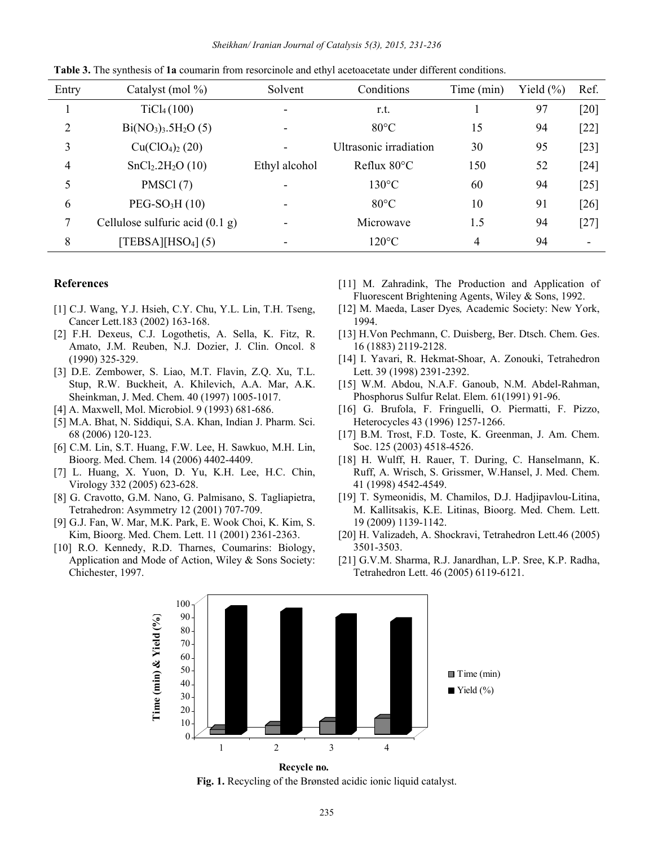| Entry          | Catalyst (mol $\%$ )                     | Solvent       | Conditions             | Time (min) | Yield $(\%)$ | Ref.   |
|----------------|------------------------------------------|---------------|------------------------|------------|--------------|--------|
|                | TiCl <sub>4</sub> (100)                  |               | r.t.                   |            | 97           | [20]   |
| $\overline{2}$ | $Bi(NO3)3.5H2O(5)$                       |               | $80^{\circ}$ C         | 15         | 94           | $[22]$ |
| 3              | Cu(CIO <sub>4</sub> ) <sub>2</sub> (20)  |               | Ultrasonic irradiation | 30         | 95           | $[23]$ |
| 4              | SnCl <sub>2</sub> .2H <sub>2</sub> O(10) | Ethyl alcohol | Reflux $80^{\circ}$ C  | 150        | 52           | $[24]$ |
| 5              | PMSCl(7)                                 |               | $130^{\circ}$ C        | 60         | 94           | $[25]$ |
| 6              | $PEG-SO3H(10)$                           |               | $80^{\circ}$ C         | 10         | 91           | $[26]$ |
| 7              | Cellulose sulfuric acid $(0.1 g)$        |               | Microwave              | 1.5        | 94           | $[27]$ |
| 8              | [TEBSA][HSO <sub>4</sub> ] (5)           |               | $120^{\circ}$ C        | 4          | 94           |        |

**Table 3.** The synthesis of **1a** coumarin from resorcinole and ethyl acetoacetate under different conditions.

#### **References**

- [1] C.J. Wang, Y.J. Hsieh, C.Y. Chu, Y.L. Lin, T.H. Tseng, Cancer Lett.183 (2002) 163-168.
- [2] F.H. Dexeus, C.J. Logothetis, A. Sella, K. Fitz, R. Amato, J.M. Reuben, N.J. Dozier, J. Clin. Oncol. 8 (1990) 325-329.
- [3] D.E. Zembower, S. Liao, M.T. Flavin, Z.Q. Xu, T.L. Stup, R.W. Buckheit, A. Khilevich, A.A. Mar, A.K. Sheinkman, J. Med. Chem. 40 (1997) 1005-1017.
- [4] A. Maxwell, Mol. Microbiol. 9 (1993) 681-686.
- [5] M.A. Bhat, N. Siddiqui, S.A. Khan, Indian J. Pharm. Sci. 68 (2006) 120-123.
- [6] C.M. Lin, S.T. Huang, F.W. Lee, H. Sawkuo, M.H. Lin, Bioorg. Med. Chem. 14 (2006) 4402-4409.
- [7] L. Huang, X. Yuon, D. Yu, K.H. Lee, H.C. Chin, Virology 332 (2005) 623-628.
- [8] G. Cravotto, G.M. Nano, G. Palmisano, S. Tagliapietra, Tetrahedron: Asymmetry 12 (2001) 707-709.
- [9] G.J. Fan, W. Mar, M.K. Park, E. Wook Choi, K. Kim, S. Kim, Bioorg. Med. Chem. Lett. 11 (2001) 2361-2363.
- [10] R.O. Kennedy, R.D. Tharnes, Coumarins: Biology, Application and Mode of Action, Wiley & Sons Society: Chichester, 1997.
- [11] M. Zahradink, The Production and Application of Fluorescent Brightening Agents, Wiley & Sons, 1992.
- [12] M. Maeda, Laser Dyes*,* Academic Society: New York, 1994.
- [13] H. Von Pechmann, C. Duisberg, Ber. Dtsch. Chem. Ges. 16 (1883) 2119-2128.
- [14] I. Yavari, R. Hekmat-Shoar, A. Zonouki, Tetrahedron Lett. 39 (1998) 2391-2392.
- [15] W.M. Abdou, N.A.F. Ganoub, N.M. Abdel-Rahman, Phosphorus Sulfur Relat. Elem. 61(1991) 91-96.
- [16] G. Brufola, F. Fringuelli, O. Piermatti, F. Pizzo, Heterocycles 43 (1996) 1257-1266.
- [17] B.M. Trost, F.D. Toste, K. Greenman, J. Am. Chem. Soc. 125 (2003) 4518-4526.
- [18] H. Wulff, H. Rauer, T. During, C. Hanselmann, K. Ruff, A. Wrisch, S. Grissmer, W.Hansel, J. Med. Chem. 41 (1998) 4542-4549.
- [19] T. Symeonidis, M. Chamilos, D.J. Hadjipavlou-Litina, M. Kallitsakis, K.E. Litinas, Bioorg. Med. Chem. Lett. 19 (2009) 1139-1142.
- [20] H. Valizadeh, A. Shockravi, Tetrahedron Lett.46 (2005) 3501-3503.
- [21] G.V.M. Sharma, R.J. Janardhan, L.P. Sree, K.P. Radha, Tetrahedron Lett. 46 (2005) 6119-6121.



**Recycle no.**

**Fig. 1.** Recycling of the Brønsted acidic ionic liquid catalyst.